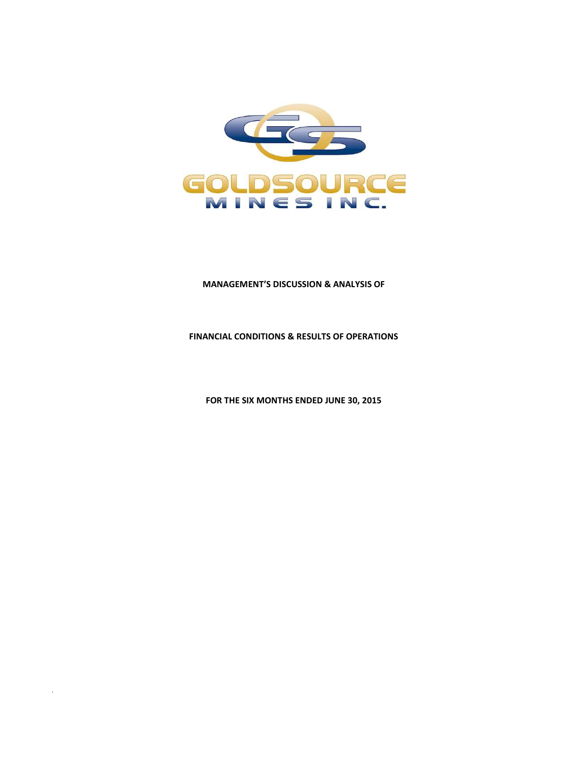

# **MANAGEMENT'S DISCUSSION & ANALYSIS OF**

# **FINANCIAL CONDITIONS & RESULTS OF OPERATIONS**

**FOR THE SIX MONTHS ENDED JUNE 30, 2015** 

.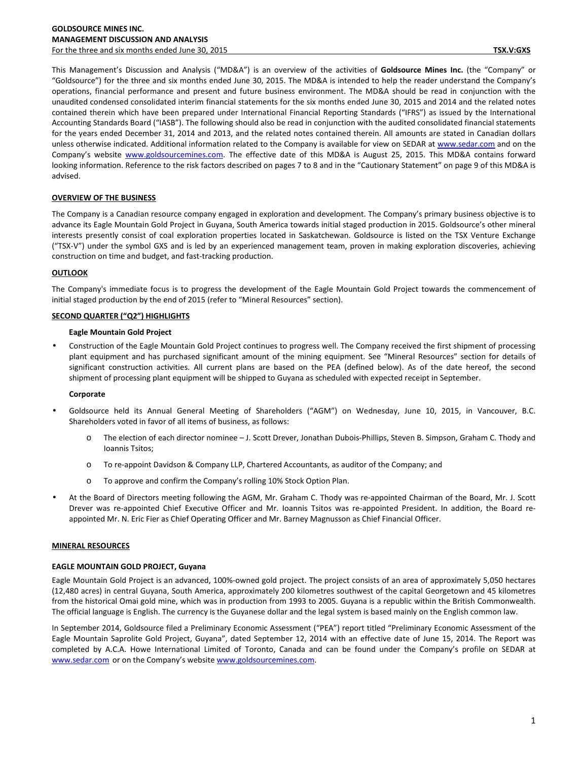This Management's Discussion and Analysis ("MD&A") is an overview of the activities of **Goldsource Mines Inc.** (the "Company" or "Goldsource") for the three and six months ended June 30, 2015. The MD&A is intended to help the reader understand the Company's operations, financial performance and present and future business environment. The MD&A should be read in conjunction with the unaudited condensed consolidated interim financial statements for the six months ended June 30, 2015 and 2014 and the related notes contained therein which have been prepared under International Financial Reporting Standards ("IFRS") as issued by the International Accounting Standards Board ("IASB"). The following should also be read in conjunction with the audited consolidated financial statements for the years ended December 31, 2014 and 2013, and the related notes contained therein. All amounts are stated in Canadian dollars unless otherwise indicated. Additional information related to the Company is available for view on SEDAR at www.sedar.com and on the Company's website www.goldsourcemines.com. The effective date of this MD&A is August 25, 2015. This MD&A contains forward looking information. Reference to the risk factors described on pages 7 to 8 and in the "Cautionary Statement" on page 9 of this MD&A is advised.

# **OVERVIEW OF THE BUSINESS**

The Company is a Canadian resource company engaged in exploration and development. The Company's primary business objective is to advance its Eagle Mountain Gold Project in Guyana, South America towards initial staged production in 2015. Goldsource's other mineral interests presently consist of coal exploration properties located in Saskatchewan. Goldsource is listed on the TSX Venture Exchange ("TSX-V") under the symbol GXS and is led by an experienced management team, proven in making exploration discoveries, achieving construction on time and budget, and fast-tracking production.

# **OUTLOOK**

The Company's immediate focus is to progress the development of the Eagle Mountain Gold Project towards the commencement of initial staged production by the end of 2015 (refer to "Mineral Resources" section).

# **SECOND QUARTER ("Q2") HIGHLIGHTS**

# **Eagle Mountain Gold Project**

• Construction of the Eagle Mountain Gold Project continues to progress well. The Company received the first shipment of processing plant equipment and has purchased significant amount of the mining equipment. See "Mineral Resources" section for details of significant construction activities. All current plans are based on the PEA (defined below). As of the date hereof, the second shipment of processing plant equipment will be shipped to Guyana as scheduled with expected receipt in September.

## **Corporate**

- Goldsource held its Annual General Meeting of Shareholders ("AGM") on Wednesday, June 10, 2015, in Vancouver, B.C. Shareholders voted in favor of all items of business, as follows:
	- o The election of each director nominee J. Scott Drever, Jonathan Dubois-Phillips, Steven B. Simpson, Graham C. Thody and Ioannis Tsitos;
	- o To re-appoint Davidson & Company LLP, Chartered Accountants, as auditor of the Company; and
	- o To approve and confirm the Company's rolling 10% Stock Option Plan.
- At the Board of Directors meeting following the AGM, Mr. Graham C. Thody was re-appointed Chairman of the Board, Mr. J. Scott Drever was re-appointed Chief Executive Officer and Mr. Ioannis Tsitos was re-appointed President. In addition, the Board reappointed Mr. N. Eric Fier as Chief Operating Officer and Mr. Barney Magnusson as Chief Financial Officer.

## **MINERAL RESOURCES**

## **EAGLE MOUNTAIN GOLD PROJECT, Guyana**

Eagle Mountain Gold Project is an advanced, 100%-owned gold project. The project consists of an area of approximately 5,050 hectares (12,480 acres) in central Guyana, South America, approximately 200 kilometres southwest of the capital Georgetown and 45 kilometres from the historical Omai gold mine, which was in production from 1993 to 2005. Guyana is a republic within the British Commonwealth. The official language is English. The currency is the Guyanese dollar and the legal system is based mainly on the English common law.

In September 2014, Goldsource filed a Preliminary Economic Assessment ("PEA") report titled "Preliminary Economic Assessment of the Eagle Mountain Saprolite Gold Project, Guyana", dated September 12, 2014 with an effective date of June 15, 2014. The Report was completed by A.C.A. Howe International Limited of Toronto, Canada and can be found under the Company's profile on SEDAR at www.sedar.com or on the Company's website www.goldsourcemines.com.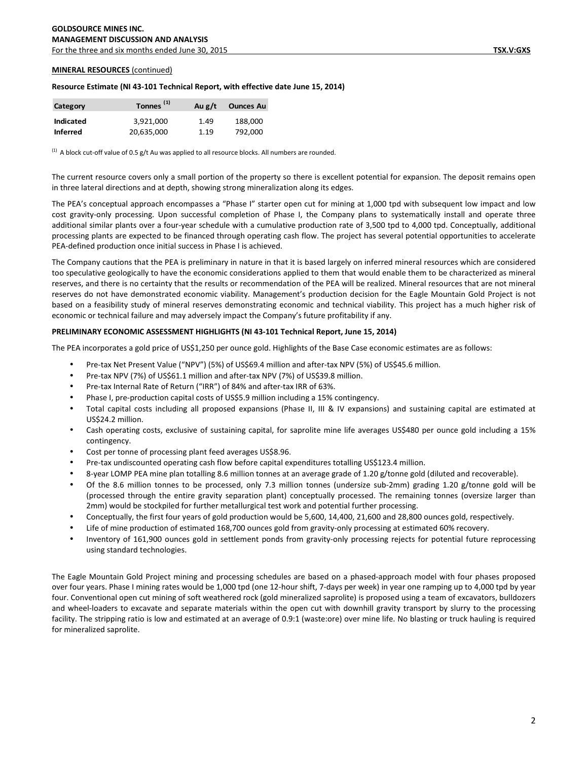For the three and six months ended June 30, 2015 **TSX.V:GXS** 

#### **MINERAL RESOURCES** (continued)

#### **Resource Estimate (NI 43-101 Technical Report, with effective date June 15, 2014)**

| Category        | Tonnes <sup>(1)</sup> | Au $g/t$ | <b>Ounces Au</b> |  |  |  |
|-----------------|-----------------------|----------|------------------|--|--|--|
| Indicated       | 3.921.000             | 1.49     | 188.000          |  |  |  |
| <b>Inferred</b> | 20,635,000            | 1.19     | 792.000          |  |  |  |

 $<sup>(1)</sup>$  A block cut-off value of 0.5 g/t Au was applied to all resource blocks. All numbers are rounded.</sup>

The current resource covers only a small portion of the property so there is excellent potential for expansion. The deposit remains open in three lateral directions and at depth, showing strong mineralization along its edges.

The PEA's conceptual approach encompasses a "Phase I" starter open cut for mining at 1,000 tpd with subsequent low impact and low cost gravity-only processing. Upon successful completion of Phase I, the Company plans to systematically install and operate three additional similar plants over a four-year schedule with a cumulative production rate of 3,500 tpd to 4,000 tpd. Conceptually, additional processing plants are expected to be financed through operating cash flow. The project has several potential opportunities to accelerate PEA-defined production once initial success in Phase I is achieved.

The Company cautions that the PEA is preliminary in nature in that it is based largely on inferred mineral resources which are considered too speculative geologically to have the economic considerations applied to them that would enable them to be characterized as mineral reserves, and there is no certainty that the results or recommendation of the PEA will be realized. Mineral resources that are not mineral reserves do not have demonstrated economic viability. Management's production decision for the Eagle Mountain Gold Project is not based on a feasibility study of mineral reserves demonstrating economic and technical viability. This project has a much higher risk of economic or technical failure and may adversely impact the Company's future profitability if any.

# **PRELIMINARY ECONOMIC ASSESSMENT HIGHLIGHTS (NI 43-101 Technical Report, June 15, 2014)**

The PEA incorporates a gold price of US\$1,250 per ounce gold. Highlights of the Base Case economic estimates are as follows:

- Pre-tax Net Present Value ("NPV") (5%) of US\$69.4 million and after-tax NPV (5%) of US\$45.6 million.
- Pre-tax NPV (7%) of US\$61.1 million and after-tax NPV (7%) of US\$39.8 million.
- Pre-tax Internal Rate of Return ("IRR") of 84% and after-tax IRR of 63%.
- Phase I, pre-production capital costs of US\$5.9 million including a 15% contingency.
- Total capital costs including all proposed expansions (Phase II, III & IV expansions) and sustaining capital are estimated at US\$24.2 million.
- Cash operating costs, exclusive of sustaining capital, for saprolite mine life averages US\$480 per ounce gold including a 15% contingency.
- Cost per tonne of processing plant feed averages US\$8.96.
- Pre-tax undiscounted operating cash flow before capital expenditures totalling US\$123.4 million.
- 8-year LOMP PEA mine plan totalling 8.6 million tonnes at an average grade of 1.20 g/tonne gold (diluted and recoverable).
- Of the 8.6 million tonnes to be processed, only 7.3 million tonnes (undersize sub-2mm) grading 1.20 g/tonne gold will be (processed through the entire gravity separation plant) conceptually processed. The remaining tonnes (oversize larger than 2mm) would be stockpiled for further metallurgical test work and potential further processing.
- Conceptually, the first four years of gold production would be 5,600, 14,400, 21,600 and 28,800 ounces gold, respectively.
- Life of mine production of estimated 168,700 ounces gold from gravity-only processing at estimated 60% recovery.
- Inventory of 161,900 ounces gold in settlement ponds from gravity-only processing rejects for potential future reprocessing using standard technologies.

The Eagle Mountain Gold Project mining and processing schedules are based on a phased-approach model with four phases proposed over four years. Phase I mining rates would be 1,000 tpd (one 12-hour shift, 7-days per week) in year one ramping up to 4,000 tpd by year four. Conventional open cut mining of soft weathered rock (gold mineralized saprolite) is proposed using a team of excavators, bulldozers and wheel-loaders to excavate and separate materials within the open cut with downhill gravity transport by slurry to the processing facility. The stripping ratio is low and estimated at an average of 0.9:1 (waste:ore) over mine life. No blasting or truck hauling is required for mineralized saprolite.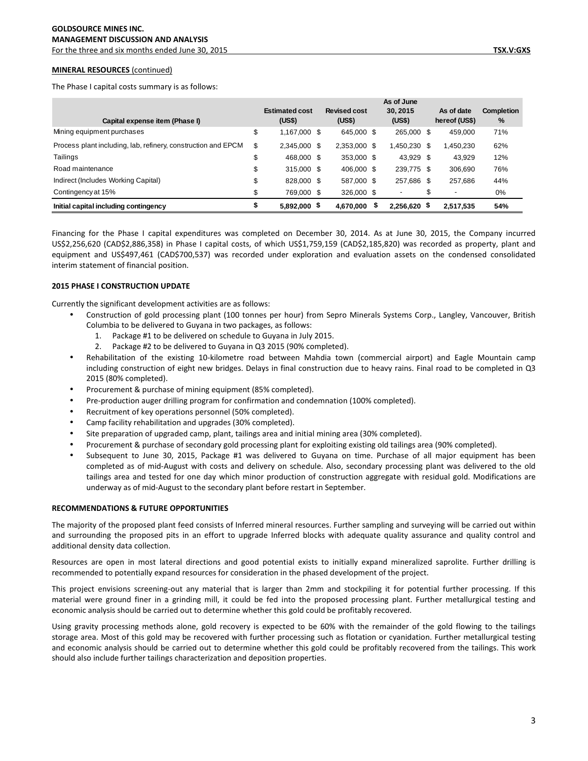For the three and six months ended June 30, 2015 **TSX.V:GXS** 

#### **MINERAL RESOURCES** (continued)

The Phase I capital costs summary is as follows:

|                                                               | As of June<br>30.2015<br>As of date<br><b>Revised cost</b><br><b>Estimated cost</b> |  |              |  |                          | <b>Completion</b> |               |     |
|---------------------------------------------------------------|-------------------------------------------------------------------------------------|--|--------------|--|--------------------------|-------------------|---------------|-----|
| Capital expense item (Phase I)                                | (US\$)                                                                              |  | (US\$)       |  | (US\$)                   |                   | hereof (US\$) | %   |
| Mining equipment purchases                                    | \$<br>1,167,000 \$                                                                  |  | 645,000 \$   |  | 265,000 \$               |                   | 459.000       | 71% |
| Process plant including, lab, refinery, construction and EPCM | \$<br>2.345.000 \$                                                                  |  | 2,353,000 \$ |  | 450,230 \$               |                   | ,450,230      | 62% |
| Tailings                                                      | \$<br>468,000 \$                                                                    |  | 353,000 \$   |  | 43.929 \$                |                   | 43,929        | 12% |
| Road maintenance                                              | \$<br>315,000 \$                                                                    |  | 406,000 \$   |  | 239,775 \$               |                   | 306.690       | 76% |
| Indirect (Includes Working Capital)                           | \$<br>828,000 \$                                                                    |  | 587,000 \$   |  | 257,686 \$               |                   | 257.686       | 44% |
| Contingency at 15%                                            | \$<br>769,000 \$                                                                    |  | 326,000 \$   |  | $\overline{\phantom{0}}$ |                   | -             | 0%  |

Financing for the Phase I capital expenditures was completed on December 30, 2014. As at June 30, 2015, the Company incurred US\$2,256,620 (CAD\$2,886,358) in Phase I capital costs, of which US\$1,759,159 (CAD\$2,185,820) was recorded as property, plant and equipment and US\$497,461 (CAD\$700,537) was recorded under exploration and evaluation assets on the condensed consolidated interim statement of financial position.

**Initial capital including contingency \$ 5,892,000 \$ 4,670,000 \$ 2,256,620 \$ 54% 2,517,535**

## **2015 PHASE I CONSTRUCTION UPDATE**

Currently the significant development activities are as follows:

- Construction of gold processing plant (100 tonnes per hour) from Sepro Minerals Systems Corp., Langley, Vancouver, British Columbia to be delivered to Guyana in two packages, as follows:
	- 1. Package #1 to be delivered on schedule to Guyana in July 2015.
	- 2. Package #2 to be delivered to Guyana in Q3 2015 (90% completed).
- Rehabilitation of the existing 10-kilometre road between Mahdia town (commercial airport) and Eagle Mountain camp including construction of eight new bridges. Delays in final construction due to heavy rains. Final road to be completed in Q3 2015 (80% completed).
- Procurement & purchase of mining equipment (85% completed).
- Pre-production auger drilling program for confirmation and condemnation (100% completed).
- Recruitment of key operations personnel (50% completed).
- Camp facility rehabilitation and upgrades (30% completed).
- Site preparation of upgraded camp, plant, tailings area and initial mining area (30% completed).
- Procurement & purchase of secondary gold processing plant for exploiting existing old tailings area (90% completed).
- Subsequent to June 30, 2015, Package #1 was delivered to Guyana on time. Purchase of all major equipment has been completed as of mid-August with costs and delivery on schedule. Also, secondary processing plant was delivered to the old tailings area and tested for one day which minor production of construction aggregate with residual gold. Modifications are underway as of mid-August to the secondary plant before restart in September.

## **RECOMMENDATIONS & FUTURE OPPORTUNITIES**

The majority of the proposed plant feed consists of Inferred mineral resources. Further sampling and surveying will be carried out within and surrounding the proposed pits in an effort to upgrade Inferred blocks with adequate quality assurance and quality control and additional density data collection.

Resources are open in most lateral directions and good potential exists to initially expand mineralized saprolite. Further drilling is recommended to potentially expand resources for consideration in the phased development of the project.

This project envisions screening-out any material that is larger than 2mm and stockpiling it for potential further processing. If this material were ground finer in a grinding mill, it could be fed into the proposed processing plant. Further metallurgical testing and economic analysis should be carried out to determine whether this gold could be profitably recovered.

Using gravity processing methods alone, gold recovery is expected to be 60% with the remainder of the gold flowing to the tailings storage area. Most of this gold may be recovered with further processing such as flotation or cyanidation. Further metallurgical testing and economic analysis should be carried out to determine whether this gold could be profitably recovered from the tailings. This work should also include further tailings characterization and deposition properties.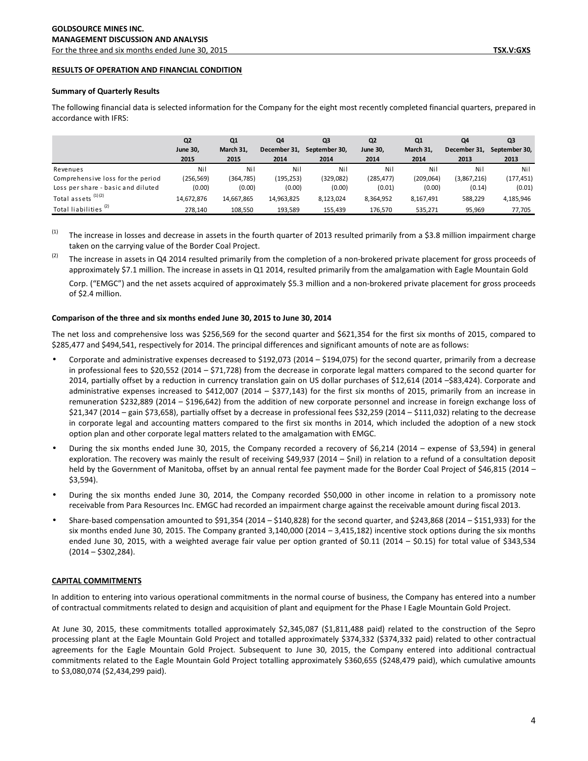# **RESULTS OF OPERATION AND FINANCIAL CONDITION**

#### **Summary of Quarterly Results**

|                                    | Q <sub>2</sub>  | Q1         | Q4           | Q <sub>3</sub> | Q <sub>2</sub> | Q1         | Q4           | Q3            |
|------------------------------------|-----------------|------------|--------------|----------------|----------------|------------|--------------|---------------|
|                                    | <b>June 30,</b> | March 31,  | December 31. | September 30.  | June 30,       | March 31.  | December 31, | September 30, |
|                                    | 2015            | 2015       | 2014         | 2014           | 2014           | 2014       | 2013         | 2013          |
| Revenues                           | Nil             | Nil        | Nil          | Nil            | Nil            | Nil        | Nil          | Nil           |
| Comprehensive loss for the period  | (256, 569)      | (364, 785) | (195, 253)   | (329, 082)     | (285, 477)     | (209, 064) | (3,867,216)  | (177, 451)    |
| Loss per share - basic and diluted | (0.00)          | (0.00)     | (0.00)       | (0.00)         | (0.01)         | (0.00)     | (0.14)       | (0.01)        |
| Total assets $(1)(2)$              | 14.672.876      | 14.667.865 | 14,963,825   | 8.123.024      | 8,364,952      | 8,167,491  | 588,229      | 4,185,946     |
| Total liabilities <sup>(2)</sup>   | 278,140         | 108,550    | 193,589      | 155,439        | 176,570        | 535,271    | 95,969       | 77,705        |

The following financial data is selected information for the Company for the eight most recently completed financial quarters, prepared in accordance with IFRS:

(1) The increase in losses and decrease in assets in the fourth quarter of 2013 resulted primarily from a \$3.8 million impairment charge taken on the carrying value of the Border Coal Project.

 $(2)$  The increase in assets in Q4 2014 resulted primarily from the completion of a non-brokered private placement for gross proceeds of approximately \$7.1 million. The increase in assets in Q1 2014, resulted primarily from the amalgamation with Eagle Mountain Gold

Corp. ("EMGC") and the net assets acquired of approximately \$5.3 million and a non-brokered private placement for gross proceeds of \$2.4 million.

## **Comparison of the three and six months ended June 30, 2015 to June 30, 2014**

The net loss and comprehensive loss was \$256,569 for the second quarter and \$621,354 for the first six months of 2015, compared to \$285,477 and \$494,541, respectively for 2014. The principal differences and significant amounts of note are as follows:

- Corporate and administrative expenses decreased to \$192,073 (2014 \$194,075) for the second quarter, primarily from a decrease in professional fees to \$20,552 (2014 – \$71,728) from the decrease in corporate legal matters compared to the second quarter for 2014, partially offset by a reduction in currency translation gain on US dollar purchases of \$12,614 (2014 –\$83,424). Corporate and administrative expenses increased to \$412,007 (2014 – \$377,143) for the first six months of 2015, primarily from an increase in remuneration \$232,889 (2014 – \$196,642) from the addition of new corporate personnel and increase in foreign exchange loss of \$21,347 (2014 – gain \$73,658), partially offset by a decrease in professional fees \$32,259 (2014 – \$111,032) relating to the decrease in corporate legal and accounting matters compared to the first six months in 2014, which included the adoption of a new stock option plan and other corporate legal matters related to the amalgamation with EMGC.
- During the six months ended June 30, 2015, the Company recorded a recovery of \$6,214 (2014 expense of \$3,594) in general exploration. The recovery was mainly the result of receiving \$49,937 (2014 – \$nil) in relation to a refund of a consultation deposit held by the Government of Manitoba, offset by an annual rental fee payment made for the Border Coal Project of \$46,815 (2014 – \$3,594).
- During the six months ended June 30, 2014, the Company recorded \$50,000 in other income in relation to a promissory note receivable from Para Resources Inc. EMGC had recorded an impairment charge against the receivable amount during fiscal 2013.
- Share-based compensation amounted to \$91,354 (2014 \$140,828) for the second quarter, and \$243,868 (2014 \$151,933) for the six months ended June 30, 2015. The Company granted  $3,140,000$  (2014 –  $3,415,182$ ) incentive stock options during the six months ended June 30, 2015, with a weighted average fair value per option granted of \$0.11 (2014 – \$0.15) for total value of \$343,534  $(2014 - $302,284)$ .

## **CAPITAL COMMITMENTS**

In addition to entering into various operational commitments in the normal course of business, the Company has entered into a number of contractual commitments related to design and acquisition of plant and equipment for the Phase I Eagle Mountain Gold Project.

At June 30, 2015, these commitments totalled approximately \$2,345,087 (\$1,811,488 paid) related to the construction of the Sepro processing plant at the Eagle Mountain Gold Project and totalled approximately \$374,332 (\$374,332 paid) related to other contractual agreements for the Eagle Mountain Gold Project. Subsequent to June 30, 2015, the Company entered into additional contractual commitments related to the Eagle Mountain Gold Project totalling approximately \$360,655 (\$248,479 paid), which cumulative amounts to \$3,080,074 (\$2,434,299 paid).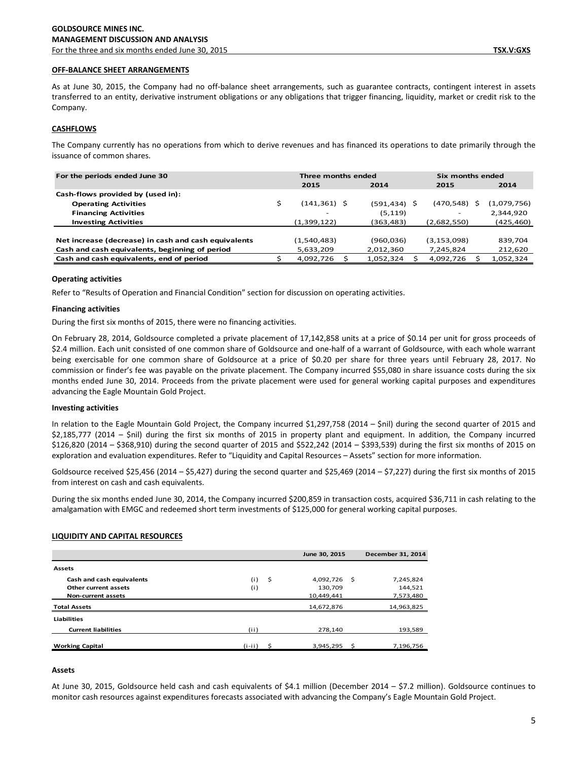As at June 30, 2015, the Company had no off-balance sheet arrangements, such as guarantee contracts, contingent interest in assets transferred to an entity, derivative instrument obligations or any obligations that trigger financing, liquidity, market or credit risk to the Company.

# **CASHFLOWS**

The Company currently has no operations from which to derive revenues and has financed its operations to date primarily through the issuance of common shares.

| For the periods ended June 30                        | Three months ended |           |  | Six months ended |  |             |
|------------------------------------------------------|--------------------|-----------|--|------------------|--|-------------|
|                                                      | 2015               | 2014      |  | 2015             |  | 2014        |
| Cash-flows provided by (used in):                    |                    |           |  |                  |  |             |
| <b>Operating Activities</b>                          | (141,361) \$       | (591,434) |  | (470,548)        |  | (1,079,756) |
| <b>Financing Activities</b>                          | -                  | (5, 119)  |  |                  |  | 2,344,920   |
| <b>Investing Activities</b>                          | (1,399,122)        | (363,483) |  | (2,682,550)      |  | (425,460)   |
|                                                      |                    |           |  |                  |  |             |
| Net increase (decrease) in cash and cash equivalents | (1,540,483)        | (960,036) |  | (3,153,098)      |  | 839,704     |
| Cash and cash equivalents, beginning of period       | 5,633,209          | 2,012,360 |  | 7,245,824        |  | 212,620     |
| Cash and cash equivalents, end of period             | 4,092,726          | 1,052,324 |  | 4,092,726        |  | 1,052,324   |

# **Operating activities**

Refer to "Results of Operation and Financial Condition" section for discussion on operating activities.

## **Financing activities**

During the first six months of 2015, there were no financing activities.

On February 28, 2014, Goldsource completed a private placement of 17,142,858 units at a price of \$0.14 per unit for gross proceeds of \$2.4 million. Each unit consisted of one common share of Goldsource and one-half of a warrant of Goldsource, with each whole warrant being exercisable for one common share of Goldsource at a price of \$0.20 per share for three years until February 28, 2017. No commission or finder's fee was payable on the private placement. The Company incurred \$55,080 in share issuance costs during the six months ended June 30, 2014. Proceeds from the private placement were used for general working capital purposes and expenditures advancing the Eagle Mountain Gold Project.

## **Investing activities**

In relation to the Eagle Mountain Gold Project, the Company incurred \$1,297,758 (2014 – \$nil) during the second quarter of 2015 and \$2,185,777 (2014 – \$nil) during the first six months of 2015 in property plant and equipment. In addition, the Company incurred \$126,820 (2014 – \$368,910) during the second quarter of 2015 and \$522,242 (2014 – \$393,539) during the first six months of 2015 on exploration and evaluation expenditures. Refer to "Liquidity and Capital Resources – Assets" section for more information.

Goldsource received \$25,456 (2014 – \$5,427) during the second quarter and \$25,469 (2014 – \$7,227) during the first six months of 2015 from interest on cash and cash equivalents.

During the six months ended June 30, 2014, the Company incurred \$200,859 in transaction costs, acquired \$36,711 in cash relating to the amalgamation with EMGC and redeemed short term investments of \$125,000 for general working capital purposes.

# **LIQUIDITY AND CAPITAL RESOURCES**

|                            |            | June 30, 2015 |      | December 31, 2014 |
|----------------------------|------------|---------------|------|-------------------|
| <b>Assets</b>              |            |               |      |                   |
| Cash and cash equivalents  | S.<br>(i)  | 4,092,726     | - \$ | 7,245,824         |
| Other current assets       | (i)        | 130.709       |      | 144,521           |
| <b>Non-current assets</b>  |            | 10,449,441    |      | 7,573,480         |
| <b>Total Assets</b>        |            | 14,672,876    |      | 14,963,825        |
| <b>Liabilities</b>         |            |               |      |                   |
| <b>Current liabilities</b> | (i)        | 278.140       |      | 193,589           |
| <b>Working Capital</b>     | $(i - ii)$ | 3,945,295     | ≺    | 7,196,756         |

# **Assets**

At June 30, 2015, Goldsource held cash and cash equivalents of \$4.1 million (December 2014 – \$7.2 million). Goldsource continues to monitor cash resources against expenditures forecasts associated with advancing the Company's Eagle Mountain Gold Project.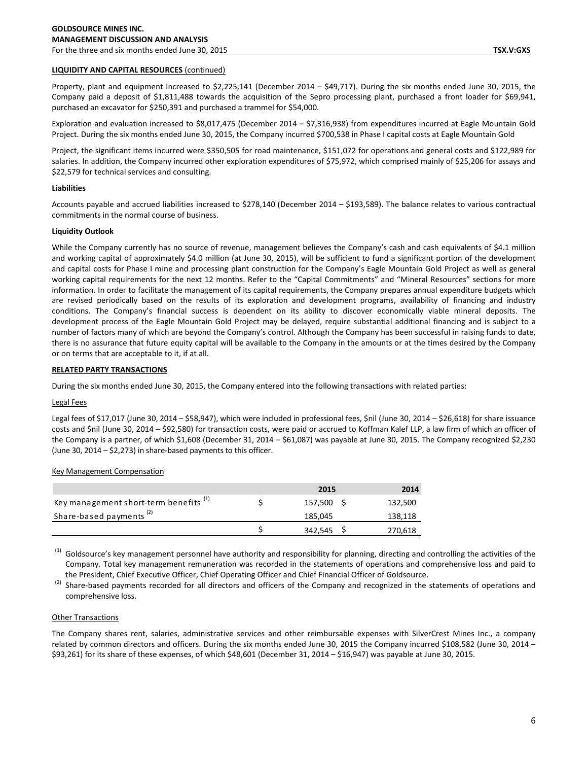# **LIQUIDITY AND CAPITAL RESOURCES** (continued)

Property, plant and equipment increased to \$2,225,141 (December 2014 – \$49,717). During the six months ended June 30, 2015, the Company paid a deposit of \$1,811,488 towards the acquisition of the Sepro processing plant, purchased a front loader for \$69,941, purchased an excavator for \$250,391 and purchased a trammel for \$54,000.

Exploration and evaluation increased to \$8,017,475 (December 2014 – \$7,316,938) from expenditures incurred at Eagle Mountain Gold Project. During the six months ended June 30, 2015, the Company incurred \$700,538 in Phase I capital costs at Eagle Mountain Gold

Project, the significant items incurred were \$350,505 for road maintenance, \$151,072 for operations and general costs and \$122,989 for salaries. In addition, the Company incurred other exploration expenditures of \$75,972, which comprised mainly of \$25,206 for assays and \$22,579 for technical services and consulting.

# **Liabilities**

Accounts payable and accrued liabilities increased to \$278,140 (December 2014 – \$193,589). The balance relates to various contractual commitments in the normal course of business.

# **Liquidity Outlook**

While the Company currently has no source of revenue, management believes the Company's cash and cash equivalents of \$4.1 million and working capital of approximately \$4.0 million (at June 30, 2015), will be sufficient to fund a significant portion of the development and capital costs for Phase I mine and processing plant construction for the Company's Eagle Mountain Gold Project as well as general working capital requirements for the next 12 months. Refer to the "Capital Commitments" and "Mineral Resources" sections for more information. In order to facilitate the management of its capital requirements, the Company prepares annual expenditure budgets which are revised periodically based on the results of its exploration and development programs, availability of financing and industry conditions. The Company's financial success is dependent on its ability to discover economically viable mineral deposits. The development process of the Eagle Mountain Gold Project may be delayed, require substantial additional financing and is subject to a number of factors many of which are beyond the Company's control. Although the Company has been successful in raising funds to date, there is no assurance that future equity capital will be available to the Company in the amounts or at the times desired by the Company or on terms that are acceptable to it, if at all.

# **RELATED PARTY TRANSACTIONS**

During the six months ended June 30, 2015, the Company entered into the following transactions with related parties:

## Legal Fees

Legal fees of \$17,017 (June 30, 2014 – \$58,947), which were included in professional fees, \$nil (June 30, 2014 – \$26,618) for share issuance costs and \$nil (June 30, 2014 – \$92,580) for transaction costs, were paid or accrued to Koffman Kalef LLP, a law firm of which an officer of the Company is a partner, of which \$1,608 (December 31, 2014 – \$61,087) was payable at June 30, 2015. The Company recognized \$2,230 (June 30, 2014 – \$2,273) in share-based payments to this officer.

## Key Management Compensation

|                                                   | 2015    | 2014    |
|---------------------------------------------------|---------|---------|
| Key management short-term benefits <sup>(1)</sup> | 157,500 | 132,500 |
| Share-based payments <sup>(2)</sup>               | 185,045 | 138,118 |
|                                                   | 342,545 | 270,618 |

 $<sup>(1)</sup>$  Goldsource's key management personnel have authority and responsibility for planning, directing and controlling the activities of the</sup> Company. Total key management remuneration was recorded in the statements of operations and comprehensive loss and paid to the President, Chief Executive Officer, Chief Operating Officer and Chief Financial Officer of Goldsource.

Share-based payments recorded for all directors and officers of the Company and recognized in the statements of operations and comprehensive loss.

# Other Transactions

The Company shares rent, salaries, administrative services and other reimbursable expenses with SilverCrest Mines Inc., a company related by common directors and officers. During the six months ended June 30, 2015 the Company incurred \$108,582 (June 30, 2014 – \$93,261) for its share of these expenses, of which \$48,601 (December 31, 2014 – \$16,947) was payable at June 30, 2015.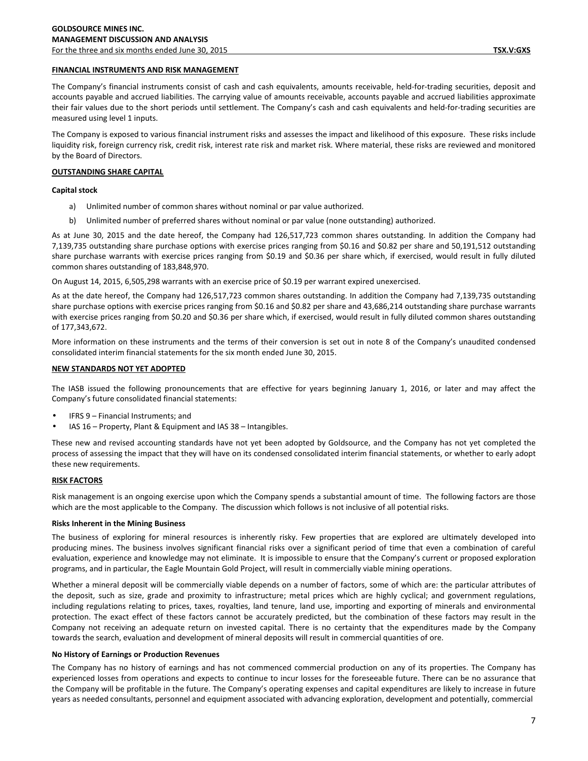# **FINANCIAL INSTRUMENTS AND RISK MANAGEMENT**

The Company's financial instruments consist of cash and cash equivalents, amounts receivable, held-for-trading securities, deposit and accounts payable and accrued liabilities. The carrying value of amounts receivable, accounts payable and accrued liabilities approximate their fair values due to the short periods until settlement. The Company's cash and cash equivalents and held-for-trading securities are measured using level 1 inputs.

The Company is exposed to various financial instrument risks and assesses the impact and likelihood of this exposure. These risks include liquidity risk, foreign currency risk, credit risk, interest rate risk and market risk. Where material, these risks are reviewed and monitored by the Board of Directors.

# **OUTSTANDING SHARE CAPITAL**

## **Capital stock**

- a) Unlimited number of common shares without nominal or par value authorized.
- b) Unlimited number of preferred shares without nominal or par value (none outstanding) authorized.

As at June 30, 2015 and the date hereof, the Company had 126,517,723 common shares outstanding. In addition the Company had 7,139,735 outstanding share purchase options with exercise prices ranging from \$0.16 and \$0.82 per share and 50,191,512 outstanding share purchase warrants with exercise prices ranging from \$0.19 and \$0.36 per share which, if exercised, would result in fully diluted common shares outstanding of 183,848,970.

On August 14, 2015, 6,505,298 warrants with an exercise price of \$0.19 per warrant expired unexercised.

As at the date hereof, the Company had 126,517,723 common shares outstanding. In addition the Company had 7,139,735 outstanding share purchase options with exercise prices ranging from \$0.16 and \$0.82 per share and 43,686,214 outstanding share purchase warrants with exercise prices ranging from \$0.20 and \$0.36 per share which, if exercised, would result in fully diluted common shares outstanding of 177,343,672.

More information on these instruments and the terms of their conversion is set out in note 8 of the Company's unaudited condensed consolidated interim financial statements for the six month ended June 30, 2015.

## **NEW STANDARDS NOT YET ADOPTED**

The IASB issued the following pronouncements that are effective for years beginning January 1, 2016, or later and may affect the Company's future consolidated financial statements:

- IFRS 9 Financial Instruments; and
- IAS 16 Property, Plant & Equipment and IAS 38 Intangibles.

These new and revised accounting standards have not yet been adopted by Goldsource, and the Company has not yet completed the process of assessing the impact that they will have on its condensed consolidated interim financial statements, or whether to early adopt these new requirements.

## **RISK FACTORS**

Risk management is an ongoing exercise upon which the Company spends a substantial amount of time. The following factors are those which are the most applicable to the Company. The discussion which follows is not inclusive of all potential risks.

## **Risks Inherent in the Mining Business**

The business of exploring for mineral resources is inherently risky. Few properties that are explored are ultimately developed into producing mines. The business involves significant financial risks over a significant period of time that even a combination of careful evaluation, experience and knowledge may not eliminate. It is impossible to ensure that the Company's current or proposed exploration programs, and in particular, the Eagle Mountain Gold Project, will result in commercially viable mining operations.

Whether a mineral deposit will be commercially viable depends on a number of factors, some of which are: the particular attributes of the deposit, such as size, grade and proximity to infrastructure; metal prices which are highly cyclical; and government regulations, including regulations relating to prices, taxes, royalties, land tenure, land use, importing and exporting of minerals and environmental protection. The exact effect of these factors cannot be accurately predicted, but the combination of these factors may result in the Company not receiving an adequate return on invested capital. There is no certainty that the expenditures made by the Company towards the search, evaluation and development of mineral deposits will result in commercial quantities of ore.

#### **No History of Earnings or Production Revenues**

The Company has no history of earnings and has not commenced commercial production on any of its properties. The Company has experienced losses from operations and expects to continue to incur losses for the foreseeable future. There can be no assurance that the Company will be profitable in the future. The Company's operating expenses and capital expenditures are likely to increase in future years as needed consultants, personnel and equipment associated with advancing exploration, development and potentially, commercial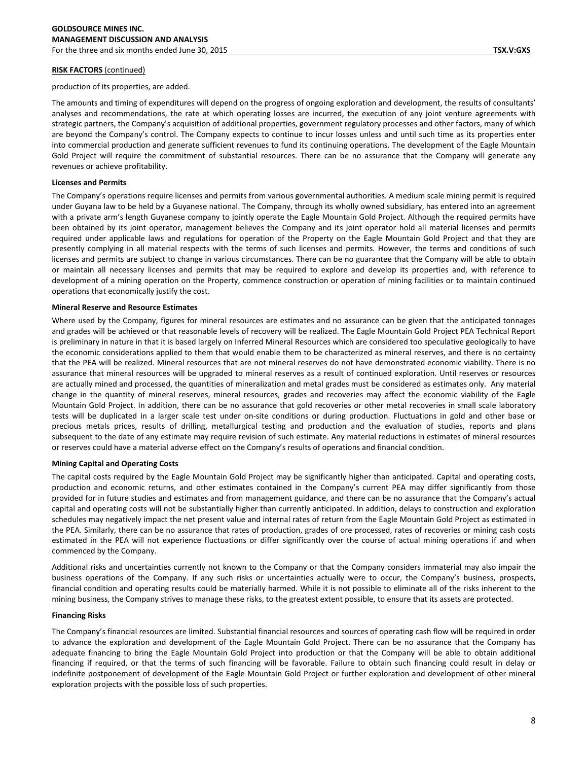production of its properties, are added.

The amounts and timing of expenditures will depend on the progress of ongoing exploration and development, the results of consultants' analyses and recommendations, the rate at which operating losses are incurred, the execution of any joint venture agreements with strategic partners, the Company's acquisition of additional properties, government regulatory processes and other factors, many of which are beyond the Company's control. The Company expects to continue to incur losses unless and until such time as its properties enter into commercial production and generate sufficient revenues to fund its continuing operations. The development of the Eagle Mountain Gold Project will require the commitment of substantial resources. There can be no assurance that the Company will generate any revenues or achieve profitability.

# **Licenses and Permits**

The Company's operations require licenses and permits from various governmental authorities. A medium scale mining permit is required under Guyana law to be held by a Guyanese national. The Company, through its wholly owned subsidiary, has entered into an agreement with a private arm's length Guyanese company to jointly operate the Eagle Mountain Gold Project. Although the required permits have been obtained by its joint operator, management believes the Company and its joint operator hold all material licenses and permits required under applicable laws and regulations for operation of the Property on the Eagle Mountain Gold Project and that they are presently complying in all material respects with the terms of such licenses and permits. However, the terms and conditions of such licenses and permits are subject to change in various circumstances. There can be no guarantee that the Company will be able to obtain or maintain all necessary licenses and permits that may be required to explore and develop its properties and, with reference to development of a mining operation on the Property, commence construction or operation of mining facilities or to maintain continued operations that economically justify the cost.

# **Mineral Reserve and Resource Estimates**

Where used by the Company, figures for mineral resources are estimates and no assurance can be given that the anticipated tonnages and grades will be achieved or that reasonable levels of recovery will be realized. The Eagle Mountain Gold Project PEA Technical Report is preliminary in nature in that it is based largely on Inferred Mineral Resources which are considered too speculative geologically to have the economic considerations applied to them that would enable them to be characterized as mineral reserves, and there is no certainty that the PEA will be realized. Mineral resources that are not mineral reserves do not have demonstrated economic viability. There is no assurance that mineral resources will be upgraded to mineral reserves as a result of continued exploration. Until reserves or resources are actually mined and processed, the quantities of mineralization and metal grades must be considered as estimates only. Any material change in the quantity of mineral reserves, mineral resources, grades and recoveries may affect the economic viability of the Eagle Mountain Gold Project. In addition, there can be no assurance that gold recoveries or other metal recoveries in small scale laboratory tests will be duplicated in a larger scale test under on-site conditions or during production. Fluctuations in gold and other base or precious metals prices, results of drilling, metallurgical testing and production and the evaluation of studies, reports and plans subsequent to the date of any estimate may require revision of such estimate. Any material reductions in estimates of mineral resources or reserves could have a material adverse effect on the Company's results of operations and financial condition.

# **Mining Capital and Operating Costs**

The capital costs required by the Eagle Mountain Gold Project may be significantly higher than anticipated. Capital and operating costs, production and economic returns, and other estimates contained in the Company's current PEA may differ significantly from those provided for in future studies and estimates and from management guidance, and there can be no assurance that the Company's actual capital and operating costs will not be substantially higher than currently anticipated. In addition, delays to construction and exploration schedules may negatively impact the net present value and internal rates of return from the Eagle Mountain Gold Project as estimated in the PEA. Similarly, there can be no assurance that rates of production, grades of ore processed, rates of recoveries or mining cash costs estimated in the PEA will not experience fluctuations or differ significantly over the course of actual mining operations if and when commenced by the Company.

Additional risks and uncertainties currently not known to the Company or that the Company considers immaterial may also impair the business operations of the Company. If any such risks or uncertainties actually were to occur, the Company's business, prospects, financial condition and operating results could be materially harmed. While it is not possible to eliminate all of the risks inherent to the mining business, the Company strives to manage these risks, to the greatest extent possible, to ensure that its assets are protected.

## **Financing Risks**

The Company's financial resources are limited. Substantial financial resources and sources of operating cash flow will be required in order to advance the exploration and development of the Eagle Mountain Gold Project. There can be no assurance that the Company has adequate financing to bring the Eagle Mountain Gold Project into production or that the Company will be able to obtain additional financing if required, or that the terms of such financing will be favorable. Failure to obtain such financing could result in delay or indefinite postponement of development of the Eagle Mountain Gold Project or further exploration and development of other mineral exploration projects with the possible loss of such properties.